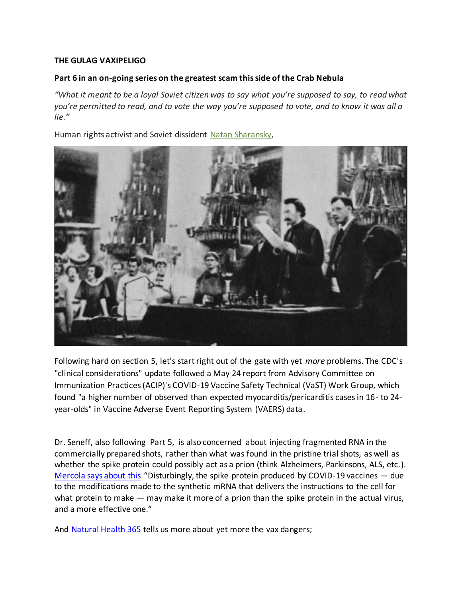## **THE GULAG VAXIPELIGO**

## **Part 6 in an on-going series on the greatest scam this side of the Crab Nebula**

*"What it meant to be a loyal Soviet citizen was to say what you're supposed to say, to read what you're permitted to read, and to vote the way you're supposed to vote, and to know it was all a lie."*

Human rights activist and Soviet dissident [Natan Sharansky,](https://www.jewishvirtuallibrary.org/natan-anatoly-sharansky)



Following hard on section 5, let's start right out of the gate with yet *more* problems. The CDC's "clinical considerations" update followed a May 24 report from Advisory Committee on Immunization Practices (ACIP)'s COVID-19 Vaccine Safety Technical (VaST) Work Group, which found "a higher number of observed than expected myocarditis/pericarditis cases in 16- to 24 year-olds" in Vaccine Adverse Event Reporting System (VAERS) data.

Dr. Seneff, also following Part 5, is also concerned about injecting fragmented RNA in the commercially prepared shots, rather than what was found in the pristine trial shots, as well as whether the spike protein could possibly act as a prion (think Alzheimers, Parkinsons, ALS, etc.). [Mercola says about this](https://articles.mercola.com/sites/articles/archive/2021/05/28/how-covid-vaccines-can-cause-blood-clots.aspx?ui=85e25c30771774a6eb5c52638ffecb6adfd58e053c28cca2f6014cb86ed0e8df&sd=20190328&cid_source=dnl&cid_medium=email&cid_content=art1HL&cid=20210528_HL2&mid=DM896293&rid=1169053345) "Disturbingly, the spike protein produced by COVID-19 vaccines — due to the modifications made to the synthetic mRNA that delivers the instructions to the cell for what protein to make — may make it more of a prion than the spike protein in the actual virus, and a more effective one."

And [Natural Health 365](https://www.naturalhealth365.com/covid-injection-adverse-events-3802.html) tells us more about yet more the vax dangers;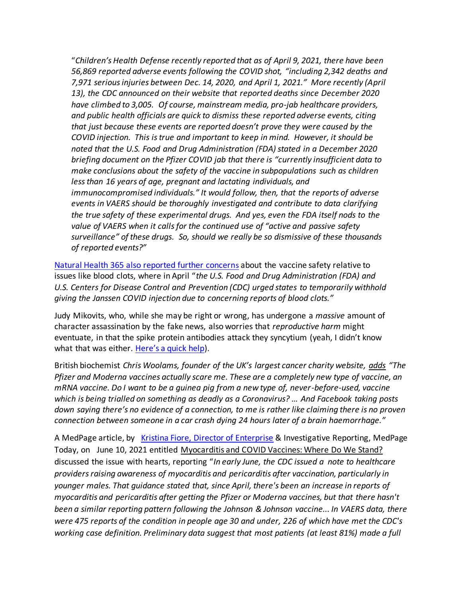"*Children's Health Defense recently reported that as of April 9, 2021, there have been 56,869 reported adverse events following the COVID shot, "including 2,342 deaths and 7,971 serious injuries between Dec. 14, 2020, and April 1, 2021." More recently (April 13), the CDC announced on their website that reported deaths since December 2020 have climbed to 3,005. Of course, mainstream media, pro-jab healthcare providers, and public health officials are quick to dismiss these reported adverse events, citing that just because these events are reported doesn't prove they were caused by the COVID injection. This is true and important to keep in mind. However, it should be noted that the U.S. Food and Drug Administration (FDA) stated in a December 2020 briefing document on the Pfizer COVID jab that there is "currently insufficient data to make conclusions about the safety of the vaccine in subpopulations such as children less than 16 years of age, pregnant and lactating individuals, and immunocompromised individuals." It would follow, then, that the reports of adverse events in VAERS should be thoroughly investigated and contribute to data clarifying the true safety of these experimental drugs. And yes, even the FDA itself nods to the value of VAERS when it calls for the continued use of "active and passive safety surveillance" of these drugs. So, should we really be so dismissive of these thousands of reported events?"* 

[Natural Health 365 also reported further concern](https://www.naturalhealth365.com/covid-injection-side-effect-blood-clots-3801.html)s about the vaccine safety relative to issues like blood clots, where in April "*the U.S. Food and Drug Administration (FDA) and U.S. Centers for Disease Control and Prevention (CDC) urged states to temporarily withhold giving the Janssen COVID injection due to concerning reports of blood clots."*

Judy Mikovits, who, while she may be right or wrong, has undergone a *massive* amount of character assassination by the fake news, also worries that *reproductive harm* might eventuate, in that the spike protein antibodies attack they syncytium (yeah, I didn't know what that was either. [Here's a quick help](https://www.sciencedirect.com/topics/medicine-and-dentistry/syncytium)).

British biochemist *Chris Woolams, founder of the UK's largest cancer charity website, [adds](https://chriswoollamshealthwatch.com/blog/my-vaccine-dilemma/) "The Pfizer and Moderna vaccines actually scare me. These are a completely new type of vaccine, an mRNA vaccine. Do I want to be a guinea pig from a new type of, never-before-used, vaccine which is being trialled on something as deadly as a Coronavirus? … And Facebook taking posts down saying there's no evidence of a connection, to me is rather like claiming there is no proven connection between someone in a car crash dying 24 hours later of a brain haemorrhage."*

A MedPage article, by [Kristina Fiore, Director of Enterprise](https://www.medpagetoday.com/special-reports/exclusives/93040) & Investigative Reporting, MedPage Today, on June 10, 2021 entitled Myocarditis and COVID Vaccines: Where Do We Stand? discussed the issue with hearts, reporting "*In early June, the CDC issued a note to healthcare providers raising awareness of myocarditis and pericarditis after vaccination, particularly in younger males. That guidance stated that, since April, there's been an increase in reports of myocarditis and pericarditis after getting the Pfizer or Moderna vaccines, but that there hasn't been a similar reporting pattern following the Johnson & Johnson vaccine... In VAERS data, there were 475 reports of the condition in people age 30 and under, 226 of which have met the CDC's working case definition. Preliminary data suggest that most patients (at least 81%) made a full*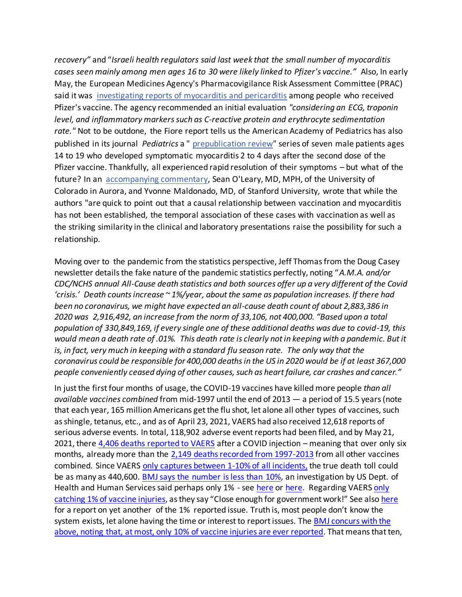*recovery"* and "*Israeli health regulators said last week that the small number of myocarditis cases seen mainly among men ages 16 to 30 were likely linked to Pfizer's vaccine."* Also, In early May, the European Medicines Agency's Pharmacovigilance Risk Assessment Committee (PRAC) said it was [investigating reports of myocarditis and pericarditis](https://www.ema.europa.eu/en/news/meeting-highlights-pharmacovigilance-risk-assessment-committee-prac-3-6-may-2021) among people who received Pfizer's vaccine. The agency recommended an initial evaluation *"considering an ECG, troponin level, and inflammatory markers such as C-reactive protein and erythrocyte sedimentation rate."* Not to be outdone, the Fiore report tells us the American Academy of Pediatrics has also published in its journal *Pediatrics* a " [prepublication review"](https://pediatrics.aappublications.org/content/early/2021/06/04/peds.2021-052478) series of seven male patients ages 14 to 19 who developed symptomatic myocarditis 2 to 4 days after the second dose of the Pfizer vaccine. Thankfully, all experienced rapid resolution of their symptoms – but what of the future? In an [accompanying commentary,](https://pediatrics.aappublications.org/content/pediatrics/early/2021/06/02/peds.2021-052644.full.pdf) Sean O'Leary, MD, MPH, of the University of Colorado in Aurora, and Yvonne Maldonado, MD, of Stanford University, wrote that while the authors "are quick to point out that a causal relationship between vaccination and myocarditis has not been established, the temporal association of these cases with vaccination as well as the striking similarity in the clinical and laboratory presentations raise the possibility for such a relationship.

Moving over to the pandemic from the statistics perspective, Jeff Thomas from the Doug Casey newsletter details the fake nature of the pandemic statistics perfectly, noting "*A.M.A. and/or CDC/NCHS annual All-Cause death statistics and both sources offer up a very different of the Covid 'crisis.' Death counts increase ~ 1%/year, about the same as population increases. If there had been no coronavirus, we might have expected an all-cause death count of about 2,883,386 in 2020 was 2,916,492, an increase from the norm of 33,106, not 400,000. "Based upon a total population of 330,849,169, if every single one of these additional deaths was due to covid-19, this would mean a death rate of .01%. This death rate is clearly not in keeping with a pandemic. But it is, in fact, very much in keeping with a standard flu season rate. The only way that the coronavirus could be responsible for 400,000 deaths in the US in 2020 would be if at least 367,000 people conveniently ceased dying of other causes, such as heart failure, car crashes and cancer."*

In just the first four months of usage, the COVID-19 vaccines have killed more people *than all available vaccines combined* from mid-1997 until the end of 2013 — a period of 15.5 years (note that each year, 165 million Americans get the flu shot, let alone all other types of vaccines, such as shingle, tetanus, etc., and as of April 23, 2021, VAERS had also received 12,618 reports of serious adverse events. In total, 118,902 adverse event reports had been filed, and by May 21, 2021, there [4,406 deaths reported to VAERS](https://www.openvaers.com/covid-data) after a COVID injection – meaning that over only six months, already more than the [2,149 deaths recorded from 1997-2013](https://academic.oup.com/cid/article/61/6/980/451431) from all other vaccines combined. Since VAERS [only captures between 1-10% of all incidents,](https://www.nvic.org/nvic-vaccine-news/january-2015/cdc-changes-restrict-vaccine-reaction-reports.aspx) the true death toll could be as many as 440,600. [BMJ says the number](https://www.bmj.com/rapid-response/2011/10/30/adverse-reactions-varicella-vaccination-are-grossly-under-reported) is less than 10%, an investigation by US Dept. of Health and Human Services said perhaps only 1% - se[e here](https://digital.ahrq.gov/sites/default/files/docs/publication/r18hs017045-lazarus-final-report-2011.pdf) or [here.](https://thevaccinereaction.org/2020/01/only-one-percent-of-vaccine-reactions-reported-to-vaers/) Regarding VAERS only [catching 1% of vaccine injuries](https://digital.ahrq.gov/sites/default/files/docs/publication/r18hs017045-lazarus-final-report-2011.pdf), as they say "Close enough for government work!" See also [here](https://thevaccinereaction.org/2020/01/only-one-percent-of-vaccine-reactions-reported-to-vaers/) for a report on yet another of the 1% reported issue. Truth is, most people don't know the system exists, let alone having the time or interest to report issues. The BMJ concurs with the above, noting [that, at most, only 10% of vaccine injuries are ever reported](https://www.bmj.com/rapid-response/2011/10/30/adverse-reactions-varicella-vaccination-are-grossly-under-reported). That means that ten,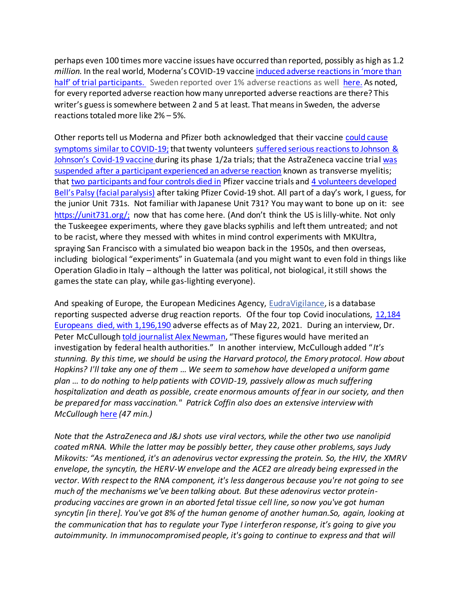perhaps even 100 times more vaccine issues have occurred than reported, possibly as high as 1.2 *million.* In the real world, Moderna's COVID-19 vaccine [induced adverse reactions in 'more than](https://justthenews.com/nation/science/moderna-covid-19-vaccine-induced-adverse-reactions-more-half-trial-participants)  [half' of trial participants](https://justthenews.com/nation/science/moderna-covid-19-vaccine-induced-adverse-reactions-more-half-trial-participants). Sweden reported over 1% adverse reactions as well [here.](https://needtoknow.news/2021/05/sweden-records-more-than-30k-cases-of-side-effects-tied-to-covid-jabs/?utm_source=rss&utm_medium=rss&utm_campaign=sweden-records-more-than-30k-cases-of-side-effects-tied-to-covid-jabs) As noted, for every reported adverse reaction how many unreported adverse reactions are there? This writer's guess is somewhere between 2 and 5 at least. That means in Sweden, the adverse reactions totaled more like 2% – 5%.

Other reports tell us Moderna and Pfizer both acknowledged that their vaccine [could cause](https://www.cnbc.com/2020/10/01/coronavirus-vaccine-trial-participants-exhaustion-fever-headaches.html)  [symptoms similar to COVID-19](https://www.cnbc.com/2020/10/01/coronavirus-vaccine-trial-participants-exhaustion-fever-headaches.html); that twenty volunteers [suffered serious reactions to Johnson &](https://thevaccinereaction.org/2020/10/20-volunteers-suffer-serious-reactions-to-johnson-johnsons-covid-19-vaccine/)  [Johnson's Covid](https://thevaccinereaction.org/2020/10/20-volunteers-suffer-serious-reactions-to-johnson-johnsons-covid-19-vaccine/)-19 vaccine during its phase 1/2a trials; that the AstraZeneca vaccine trial was [suspended after a participant experienced an adverse reaction](https://www.statnews.com/2020/09/08/astrazeneca-covid-19-vaccine-study-put-on-hold-due-to-suspected-adverse-reaction-in-participant-in-the-u-k/) known as transverse myelitis; that [two participants and four controls died](https://www.jewishpress.com/headline/fda-2-participants-4-controls-died-in-pfizer-vaccine-trials/2020/12/08/) in Pfizer vaccine trials an[d 4 volunteers developed](https://www.rt.com/usa/509081-pfizer-vaccine-fda-bells-palsy-covid/?utm_source=rss&utm_medium=rss&utm_campaign=RSS)  [Bell's Palsy \(facial paralysis\)](https://www.rt.com/usa/509081-pfizer-vaccine-fda-bells-palsy-covid/?utm_source=rss&utm_medium=rss&utm_campaign=RSS) after taking Pfizer Covid-19 shot. All part of a day's work, I guess, for the junior Unit 731s. Not familiar with Japanese Unit 731? You may want to bone up on it: see [https://unit731.org/;](https://unit731.org/) now that has come here. (And don't think the US is lilly-white. Not only the Tuskeegee experiments, where they gave blacks syphilis and left them untreated; and not to be racist, where they messed with whites in mind control experiments with MKUltra, spraying San Francisco with a simulated bio weapon back in the 1950s, and then overseas, including biological "experiments" in Guatemala (and you might want to even fold in things like Operation Gladio in Italy – although the latter was political, not biological, it still shows the games the state can play, while gas-lighting everyone).

And speaking of Europe, the European Medicines Agency, [EudraVigilance](https://www.ema.europa.eu/en/human-regulatory/research-development/pharmacovigilance/eudravigilance), is a database reporting suspected adverse drug reaction reports. Of the four top Covid inoculations, 12,184 [Europeans died, with 1,196,190](https://healthimpactnews.com/2021/12184-dead-1196190-injuries-european-database-of-adverse-drug-reactions-for-covid-19-vaccines/) adverse effects as of May 22, 2021. During an interview, Dr. Peter McCullough [told journalist Alex Newman](https://thenewamerican.com/covid-shot-killing-large-numbers-warns-top-covid-doc-peter-mccullough/), "These figures would have merited an investigation by federal health authorities." In another interview, McCullough added "*It's stunning. By this time, we should be using the Harvard protocol, the Emory protocol. How about Hopkins? I'll take any one of them … We seem to somehow have developed a uniform game plan … to do nothing to help patients with COVID-19, passively allow as much suffering hospitalization and death as possible, create enormous amounts of fear in our society, and then be prepared for mass vaccination." Patrick Coffin also does an extensive interview with McCullough* [here](https://www.patrickcoffin.media/top-cardiac-doctor-warns-against-the-vaccine/) *(47 min.)*

*Note that the AstraZeneca and J&J shots use viral vectors, while the other two use nanolipid coated mRNA. While the latter may be possibly better, they cause other problems, says Judy Mikovits: "As mentioned, it's an adenovirus vector expressing the protein. So, the HIV, the XMRV envelope, the syncytin, the HERV-W envelope and the ACE2 are already being expressed in the vector. With respect to the RNA component, it's less dangerous because you're not going to see much of the mechanisms we've been talking about. But these adenovirus vector proteinproducing vaccines are grown in an aborted fetal tissue cell line, so now you've got human syncytin [in there]. You've got 8% of the human genome of another human.So, again, looking at the communication that has to regulate your Type I interferon response, it's going to give you autoimmunity. In immunocompromised people, it's going to continue to express and that will*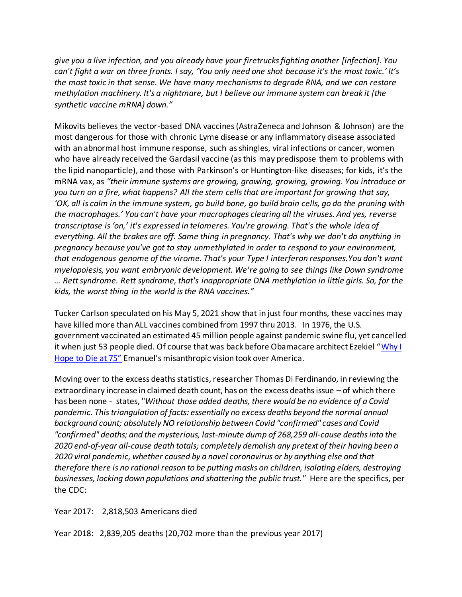*give you a live infection, and you already have your firetrucks fighting another [infection]. You can't fight a war on three fronts. I say, 'You only need one shot because it's the most toxic.' It's the most toxic in that sense. We have many mechanisms to degrade RNA, and we can restore methylation machinery. It's a nightmare, but I believe our immune system can break it [the synthetic vaccine mRNA) down."*

Mikovits believes the vector-based DNA vaccines (AstraZeneca and Johnson & Johnson) are the most dangerous for those with chronic Lyme disease or any inflammatory disease associated with an abnormal host immune response, such as shingles, viral infections or cancer, women who have already received the Gardasil vaccine (as this may predispose them to problems with the lipid nanoparticle), and those with Parkinson's or Huntington-like diseases; for kids, it's the mRNA vax, as *"their immune systems are growing, growing, growing, growing. You introduce or you turn on a fire, what happens? All the stem cells that are important for growing that say, 'OK, all is calm in the immune system, go build bone, go build brain cells, go do the pruning with the macrophages.' You can't have your macrophages clearing all the viruses. And yes, reverse transcriptase is 'on,' it's expressed in telomeres. You're growing. That's the whole idea of everything. All the brakes are off. Same thing in pregnancy. That's why we don't do anything in pregnancy because you've got to stay unmethylated in order to respond to your environment, that endogenous genome of the virome. That's your Type I interferon responses.You don't want myelopoiesis, you want embryonic development. We're going to see things like Down syndrome … Rett syndrome. Rett syndrome, that's inappropriate DNA methylation in little girls. So, for the kids, the worst thing in the world is the RNA vaccines."*

Tucker Carlson speculated on his May 5, 2021 show that in just four months, these vaccines may have killed more than ALL vaccines combined from 1997 thru 2013. In 1976, the U.S. government vaccinated an estimated 45 million people against pandemic swine flu, yet cancelled it when just 53 people died. Of course that was back before Obamacare architect Ezekiel "Why I [Hope to Die at 75"](https://www.theatlantic.com/magazine/archive/2014/10/why-i-hope-to-die-at-75/379329/) Emanuel's misanthropic vision took over America.

Moving over to the excess deaths statistics, researcher Thomas Di Ferdinando, in reviewing the extraordinary increase in claimed death count, has on the excess deaths issue – of which there has been none - states, "*Without those added deaths, there would be no evidence of a Covid pandemic. This triangulation of facts: essentially no excess deaths beyond the normal annual background count; absolutely NO relationship between Covid "confirmed" cases and Covid "confirmed" deaths; and the mysterious, last-minute dump of 268,259 all-cause deaths into the 2020 end-of-year all-cause death totals; completely demolish any pretext of their having been a 2020 viral pandemic, whether caused by a novel coronavirus or by anything else and that therefore there is no rational reason to be putting masks on children, isolating elders, destroying businesses, locking down populations and shattering the public trust."* Here are the specifics, per the CDC:

Year 2017: 2,818,503 Americans died

Year 2018: 2,839,205 deaths (20,702 more than the previous year 2017)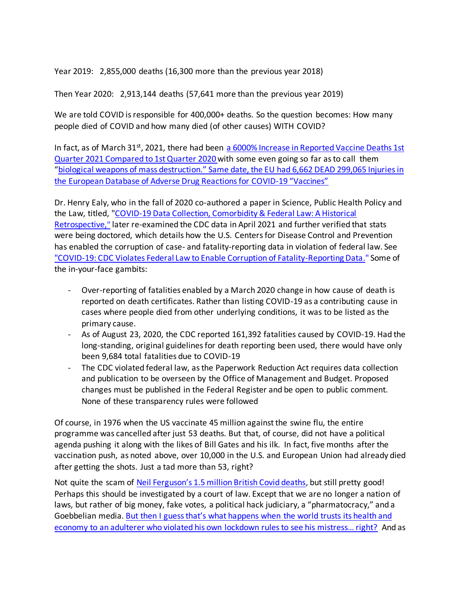Year 2019: 2,855,000 deaths (16,300 more than the previous year 2018)

Then Year 2020: 2,913,144 deaths (57,641 more than the previous year 2019)

We are told COVID is responsible for 400,000+ deaths. So the question becomes: How many people died of COVID and how many died (of other causes) WITH COVID?

In fact, as of March 31<sup>st</sup>, 2021, there had been a 6000% Increase in Reported Vaccine Deaths 1st [Quarter 2021 Compared to 1st Quarter 2020](https://medicalkidnap.com/2021/03/31/6000-increase-in-reported-vaccine-deaths-1st-quarter-2021-compared-to-1st-quarter-2020/) with some even going so far as to call them "[biological weapons of mass destruction](https://healthimpactnews.com/2020/covid-vaccines-biological-weapons-of-mass-destruction-says-wyoming-medical-doctor-and-manager-for-wyomings-state-public-health-department/)." Same date, the EU had [6,662 DEAD 299,065 Injuries in](https://medicalkidnap.com/2021/04/16/6662-dead-299065-injuries-european-database-of-adverse-drug-reactions-for-covid-19-vaccines/)  [the European Database of Adverse Drug Reactions for COVID-](https://medicalkidnap.com/2021/04/16/6662-dead-299065-injuries-european-database-of-adverse-drug-reactions-for-covid-19-vaccines/)19 "Vaccines"

Dr. Henry Ealy, who in the fall of 2020 co-authored a paper in Science, Public Health Policy and the Law, titled, ["COVID-19 Data Collection, Comorbidity & Federal Law: A Historical](file:///C:/Users/jvann/Desktop/Coronavirus%20Riots%20&%20Election%20misc/Coronvirus%20-%20my%20writings/Science,%20Public%20Health%20Policy%20and%20the%20Law%20October%2012,%202020;%202:%204-22)  [Retrospective,](file:///C:/Users/jvann/Desktop/Coronavirus%20Riots%20&%20Election%20misc/Coronvirus%20-%20my%20writings/Science,%20Public%20Health%20Policy%20and%20the%20Law%20October%2012,%202020;%202:%204-22)" later re-examined the CDC data in April 2021 and further verified that stats were being doctored, which details how the U.S. Centers for Disease Control and Prevention has enabled the corruption of case- and fatality-reporting data in violation of federal law. See ["COVID-19: CDC Violates Federal Law to Enable Corruption of Fatality-Reporting Data](https://metabolichealing.com/covid-19-cdc-violates-federal-law-to-enable-corruption-of-fatality-reporting-data/)." Some of the in-your-face gambits:

- *-* Over-reporting of fatalities enabled by a March 2020 change in how cause of death is reported on death certificates. Rather than listing COVID-19 as a contributing cause in cases where people died from other underlying conditions, it was to be listed as the primary cause.
- *-* As of August 23, 2020, the CDC reported 161,392 fatalities caused by COVID-19. Had the long-standing, original guidelines for death reporting been used, there would have only been 9,684 total fatalities due to COVID-19
- *-* The CDC violated federal law, as the Paperwork Reduction Act requires data collection and publication to be overseen by the Office of Management and Budget. Proposed changes must be published in the Federal Register and be open to public comment. None of these transparency rules were followed

Of course, in 1976 when the US vaccinate 45 million against the swine flu, the entire programme was cancelled after just 53 deaths. But that, of course, did not have a political agenda pushing it along with the likes of Bill Gates and his ilk. In fact, five months after the vaccination push, as noted above, over 10,000 in the U.S. and European Union had already died after getting the shots. Just a tad more than 53, right?

Not quite the scam of [Neil Ferguson's 1.5 million British Covid deaths](https://www.thesun.co.uk/news/uknews/12836967/lockdown-doomsday-prediction-1-5m-coronavirus-deaths/), but still pretty good! Perhaps this should be investigated by a court of law. Except that we are no longer a nation of laws, but rather of big money, fake votes, a political hack judiciary, a "pharmatocracy," and a Goebbelian media. [But then I guess that's what happens when the](https://www.waynedupree.com/2020/05/neil-ferguson-lockdown-mistress-resign/) world trusts its health and [economy to an adulterer who violated his own lockdown rules to see his mistress… right?](https://www.waynedupree.com/2020/05/neil-ferguson-lockdown-mistress-resign/) And as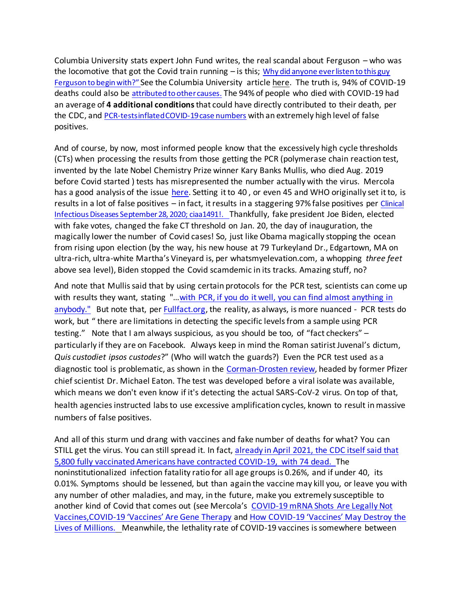Columbia University stats expert John Fund writes, the real scandal about Ferguson – who was the locomotive that got the Covid train running  $-$  is this; Why did anyone ever listen to this guy Ferguson to begin with?" See the Columbia University articl[e here.](https://statmodeling.stat.columbia.edu/2020/05/08/so-the-real-scandal-is-why-did-anyone-ever-listen-to-this-guy/) The truth is, 94% of COVID-19 deaths could also be [attributed to other causes](https://www.cdc.gov/nchs/nvss/vsrr/covid_weekly/index.htm?fbclid=IwAR2-muRM3tB3uBdbTrmKwH1NdaBx6PpZo2kxotNwkUXlnbZXCwSRP2OmqsI#Comorbidities). The 94% of people who died with COVID-19 had an average of **4 additional conditions**that could have directly contributed to their death, per the CDC, and [PCR-tests inflated COVID-19 case numbers](https://degraw.substack.com/p/national-security-alert-covid-tests) with an extremely high level of false positives.

And of course, by now, most informed people know that the excessively high cycle thresholds (CTs) when processing the results from those getting the PCR (polymerase chain reaction test, invented by the late Nobel Chemistry Prize winner Kary Banks Mullis, who died Aug. 2019 before Covid started ) tests has misrepresented the number actually with the virus. Mercola has a good analysis of the issue [here.](https://articles.mercola.com/sites/articles/archive/2020/12/18/pcr-test-reliability.aspx) Setting it to 40, or even 45 and WHO originally set it to, is results in a lot of false positives – in fact, it results in a staggering 97% false positives per [Clinical](https://academic.oup.com/cid/advance-article/doi/10.1093/cid/ciaa1491/5912603)  [Infectious Diseases September 28, 2020; ciaa1491!](https://academic.oup.com/cid/advance-article/doi/10.1093/cid/ciaa1491/5912603). Thankfully, fake president Joe Biden, elected with fake votes, changed the fake CT threshold on Jan. 20, the day of inauguration, the magically lower the number of Covid cases! So, just like Obama magically stopping the ocean from rising upon election (by the way, his new house at 79 Turkeyland Dr., Edgartown, MA on ultra-rich, ultra-white Martha's Vineyard is, per whatsmyelevation.com, a whopping *three feet* above sea level), Biden stopped the Covid scamdemic in its tracks. Amazing stuff, no?

And note that Mullis said that by using certain protocols for the PCR test, scientists can come up with results they want, stating "...with PCR, if you do it well, you can find almost anything in [anybody."](https://needtoknow.news/2020/12/kary-mullis-the-inventor-of-the-pcr-test-explains-why-its-results-are-meaningless/) But note that, per **Fullfact.org**, the reality, as always, is more nuanced - PCR tests do work, but " there are limitations in detecting the specific levels from a sample using PCR testing." Note that I am always suspicious, as you should be too, of "fact checkers" – particularly if they are on Facebook. Always keep in mind the Roman satirist Juvenal's dictum, *Quis custodiet ipsos custodes*?" (Who will watch the guards?) Even the PCR test used as a diagnostic tool is problematic, as shown in the [Corman-Drosten review,](https://cormandrostenreview.com/) headed by former Pfizer chief scientist Dr. Michael Eaton. The test was developed before a viral isolate was available, which means we don't even know if it's detecting the actual SARS-CoV-2 virus. On top of that, health agencies instructed labs to use excessive amplification cycles, known to result in massive numbers of false positives.

And all of this sturm und drang with vaccines and fake number of deaths for what? You can STILL get the virus. You can still spread it. In fact, already in April 2021, the CDC itself said that [5,800 fully vaccinated Americans have contracted COVID-19, with 74 dead. T](https://www.theepochtimes.com/5800-fully-vaccinated-americans-have-contracted-covid-19-74-dead-cdc_3777637.html)he noninstitutionalized infection fatality ratio for all age groups is 0.26%, and if under 40, its 0.01%. Symptoms should be lessened, but than again the vaccine may kill you, or leave you with any number of other maladies, and may, in the future, make you extremely susceptible to another kind of Covid that comes out (see Mercola's [COVID-19 mRNA Shots Are Legally Not](https://articles.mercola.com/sites/articles/archive/2021/02/09/coronavirus-mrna-vaccine.aspx)  [Vaccines,](https://articles.mercola.com/sites/articles/archive/2021/02/09/coronavirus-mrna-vaccine.aspx)COVID-[19 'Vaccines' Are Gene Therapy](https://articles.mercola.com/sites/articles/archive/2021/03/16/mrna-vaccine-gene-therapy.aspx) and How COVID-[19 'Vaccines' May Destroy the](https://articles.mercola.com/sites/articles/archive/2021/02/14/covid-19-vaccine-gene-therapy.aspx)  [Lives of Millions.](https://articles.mercola.com/sites/articles/archive/2021/02/14/covid-19-vaccine-gene-therapy.aspx) Meanwhile, the lethality rate of COVID-19 vaccines is somewhere between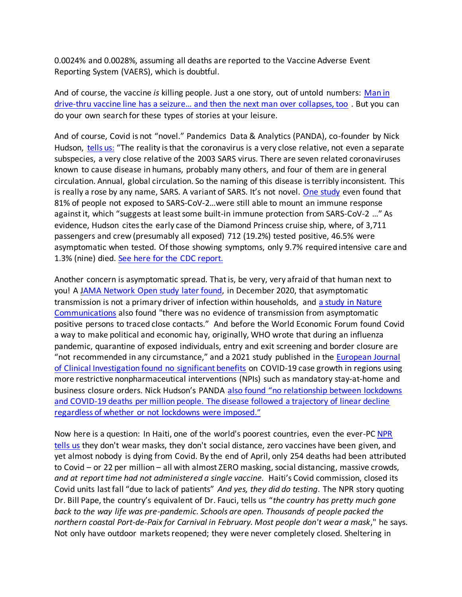0.0024% and 0.0028%, assuming all deaths are reported to the Vaccine Adverse Event Reporting System (VAERS), which is doubtful.

And of course, the vaccine *is* killing people. Just a one story, out of untold numbers: [Man in](https://americanconservativemovement.com/2021/04/17/man-in-drive-thru-vaccine-line-records-man-having-seizures-and-then-the-man-next-them-collapses-too/)  drive-[thru vaccine line has a seizure… and then the next man over collapses, too](https://americanconservativemovement.com/2021/04/17/man-in-drive-thru-vaccine-line-records-man-having-seizures-and-then-the-man-next-them-collapses-too/) . But you can do your own search for these types of stories at your leisure.

And of course, Covid is not "novel." Pandemics Data & Analytics (PANDA), co-founder by Nick Hudson, [tells us](https://articles.mercola.com/sites/articles/archive/2021/04/17/the-ugly-truth-about-covid.aspx?ui=85e25c30771774a6eb5c52638ffecb6adfd58e053c28cca2f6014cb86ed0e8df&sd=20190328&cid_source=dnl&cid_medium=email&cid_content=art1HL&cid=20210417&mid=DM860177&rid=1135061101): "The reality is that the coronavirus is a very close relative, not even a separate subspecies, a very close relative of the 2003 SARS virus. There are seven related coronaviruses known to cause disease in humans, probably many others, and four of them are in general circulation. Annual, global circulation. So the naming of this disease is terribly inconsistent. This is really a rose by any name, SARS. A variant of SARS. It's not novel. [One study](file:///C:/Users/jvann/Desktop/Coronavirus%20Riots%20&%20Election%20misc/Coronvirus%20-%20my%20writings/Research%20Square%20June%2017,%202020) even found that 81% of people not exposed to SARS-CoV-2…were still able to mount an immune response against it, which "suggests at least some built-in immune protection from SARS-CoV-2 …" As evidence, Hudson cites the early case of the Diamond Princess cruise ship, where, of 3,711 passengers and crew (presumably all exposed) 712 (19.2%) tested positive, 46.5% were asymptomatic when tested. Of those showing symptoms, only 9.7% required intensive care and 1.3% (nine) died. [See here for the CDC report.](file:///C:/Users/jvann/Desktop/Coronavirus%20Riots%20&%20Election%20misc/Coronvirus%20-%20my%20writings/CDC.gov%20MMWR%20March%2027,%202020;%2069(12):%20347-352,%20Diamond%20Princess)

Another concern is asymptomatic spread. That is, be very, very afraid of that human next to you! A [JAMA Network Open study later found,](file:///C:/Users/jvann/Desktop/Coronavirus%20Riots%20&%20Election%20misc/Coronvirus%20-%20my%20writings/JAMA%20Netw%20Open.%202020;3(12):e2031756.%20doi:10.1001/jamanetworkopen.2020.31756) in December 2020, that [asymptomatic](https://articles.mercola.com/sites/articles/archive/2020/05/20/do-asymptomatic-carriers-spread-coronavirus.aspx)  [transmission](https://articles.mercola.com/sites/articles/archive/2020/05/20/do-asymptomatic-carriers-spread-coronavirus.aspx) is not a primary driver of infection within households, and [a study in Nature](https://www.nature.com/articles/s41467-020-19802-w)  [Communications](https://www.nature.com/articles/s41467-020-19802-w) also found "there was no evidence of transmission from asymptomatic positive persons to traced close contacts." And before the World Economic Forum found Covid a way to make political and economic hay, originally, WHO wrote that during an influenza pandemic, quarantine of exposed individuals, entry and exit screening and border closure are "not recommended in any circumstance," and a 2021 study published in the [European Journal](https://onlinelibrary.wiley.com/doi/full/10.1111/eci.13484)  [of Clinical Investigation found no significant benefits](https://onlinelibrary.wiley.com/doi/full/10.1111/eci.13484) on COVID-19 case growth in regions using more restrictive nonpharmaceutical interventions (NPIs) such as mandatory stay‐at‐home and business closure orders. Nick Hudson's PANDA [also found "no relationship between lockdowns](https://articles.mercola.com/sites/articles/archive/2021/04/17/the-ugly-truth-about-covid.aspx?ui=85e25c30771774a6eb5c52638ffecb6adfd58e053c28cca2f6014cb86ed0e8df&sd=20190328&cid_source=dnl&cid_medium=email&cid_content=art1HL&cid=20210417&mid=DM860177&rid=1135061101)  [and COVID-19 deaths per million people. The disease followed a trajectory of linear decline](https://articles.mercola.com/sites/articles/archive/2021/04/17/the-ugly-truth-about-covid.aspx?ui=85e25c30771774a6eb5c52638ffecb6adfd58e053c28cca2f6014cb86ed0e8df&sd=20190328&cid_source=dnl&cid_medium=email&cid_content=art1HL&cid=20210417&mid=DM860177&rid=1135061101)  [regardless of whether or not lockdowns were imposed](https://articles.mercola.com/sites/articles/archive/2021/04/17/the-ugly-truth-about-covid.aspx?ui=85e25c30771774a6eb5c52638ffecb6adfd58e053c28cca2f6014cb86ed0e8df&sd=20190328&cid_source=dnl&cid_medium=email&cid_content=art1HL&cid=20210417&mid=DM860177&rid=1135061101)."

Now here is a question: In Haiti, one of the world's poorest countries, even the ever-PC NPR [tells us](https://www.npr.org/sections/goatsandsoda/2021/05/04/992544022/one-of-the-worlds-poorest-countries-has-one-of-the-worlds-lowest-covid-death-rat) they don't wear masks, they don't social distance, zero vaccines have been given, and yet almost nobody is dying from Covid. By the end of April, only 254 deaths had been attributed to Covid – or 22 per million – all with almost ZERO masking, social distancing, massive crowds, *and at report time had not administered a single vaccine.* Haiti's Covid commission, closed its Covid units last fall "due to lack of patients" *And yes, they did do testing*. The NPR story quoting Dr. Bill Pape, the country's equivalent of Dr. Fauci, tells us "*the country has pretty much gone back to the way life was pre-pandemic. Schools are open. Thousands of people packed the northern coastal Port-de-Paix for Carnival in February. Most people don't wear a mask*," he says. Not only have outdoor markets reopened; they were never completely closed. Sheltering in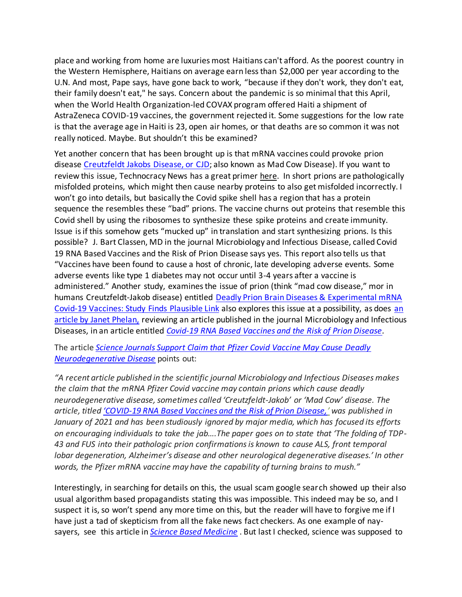place and working from home are luxuries most Haitians can't afford. As the poorest country in the Western Hemisphere, Haitians on average earn less than \$2,000 per year according to the U.N. And most, Pape says, have gone back to work, "because if they don't work, they don't eat, their family doesn't eat," he says. Concern about the pandemic is so minimal that this April, when the World Health Organization-led COVAX program offered Haiti a shipment of AstraZeneca COVID-19 vaccines, the government rejected it. Some suggestions for the low rate is that the average age in Haiti is 23, open air homes, or that deaths are so common it was not really noticed. Maybe. But shouldn't this be examined?

Yet another concern that has been brought up is that mRNA vaccines could provoke prion disease [Creutzfeldt Jakobs Disease, or CJD;](https://www.mayoclinic.org/diseases-conditions/creutzfeldt-jakob-disease/symptoms-causes/syc-20371226) also known as Mad Cow Disease). If you want to review this issue, Technocracy News has a great primer [here.](https://www.technocracy.news/study-mrna-based-vaccines-and-the-risk-of-prion-disease/) In short prions are pathologically misfolded proteins, which might then cause nearby proteins to also get misfolded incorrectly. I won't go into details, but basically the Covid spike shell has a region that has a protein sequence the resembles these "bad" prions. The vaccine churns out proteins that resemble this Covid shell by using the ribosomes to synthesize these spike proteins and create immunity. Issue is if this somehow gets "mucked up" in translation and start synthesizing prions. Is this possible? J. Bart Classen, MD in the journal Microbiology and Infectious Disease, called Covid 19 RNA Based Vaccines and the Risk of Prion Disease says yes. This report also tells us that "Vaccines have been found to cause a host of chronic, late developing adverse events. Some adverse events like type 1 diabetes may not occur until 3-4 years after a vaccine is administered." Another study, examines the issue of prion (think "mad cow disease," mor in humans Creutzfeldt-Jakob disease) entitled [Deadly Prion Brain Diseases & Experimental mRNA](https://www.greenmedinfo.com/blog/study-finds-plausible-link-between-deadly-prion-brain-diseases-experimental-mrna-3?utm_campaign=Daily%20Newsletter%3A%20Deadly%20Prion%20Brain%20Diseases%20%26%20Experimental%20mRNA%20Covid-19%20Vaccines%3A%20Study%20Finds%20Plausible%20Link%20%28TZbuFV%29&utm_medium=email&utm_source=Daily%20Newsletter&_ke=eyJrbF9jb21wYW55X2lkIjogIksydlhBeSIsICJrbF9lbWFpbCI6ICJqdmFubmVAY29tY2FzdC5uZXQifQ%3D%3D)  [Covid-19 Vaccines: Study Finds Plausible Link](https://www.greenmedinfo.com/blog/study-finds-plausible-link-between-deadly-prion-brain-diseases-experimental-mrna-3?utm_campaign=Daily%20Newsletter%3A%20Deadly%20Prion%20Brain%20Diseases%20%26%20Experimental%20mRNA%20Covid-19%20Vaccines%3A%20Study%20Finds%20Plausible%20Link%20%28TZbuFV%29&utm_medium=email&utm_source=Daily%20Newsletter&_ke=eyJrbF9jb21wYW55X2lkIjogIksydlhBeSIsICJrbF9lbWFpbCI6ICJqdmFubmVAY29tY2FzdC5uZXQifQ%3D%3D) also explores this issue at a possibility, as does an [article by Janet Phelan,](https://www.activistpost.com/2021/05/science-journals-support-claim-that-pfizer-covid-vaccine-may-cause-deadly-neurodegenerative-disease.html?utm_source=feedburner&utm_medium=feed&utm_campaign=Feed%3A+ActivistPost+%28Activist+Post%29) reviewing an article published in the journal Microbiology and Infectious Diseases, in an article entitled *[Covid-19 RNA Based Vaccines and the Risk of Prion Disease.](https://scivisionpub.com/pdfs/covid19-rna-based-vaccines-and-the-risk-of-prion-disease-1503.pdf)*

The article *[Science Journals Support Claim that Pfizer Covid Vaccine May Cause Deadly](https://www.activistpost.com/2021/05/science-journals-support-claim-that-pfizer-covid-vaccine-may-cause-deadly-neurodegenerative-disease.html)  [Neurodegenerative Disease](https://www.activistpost.com/2021/05/science-journals-support-claim-that-pfizer-covid-vaccine-may-cause-deadly-neurodegenerative-disease.html)* points out:

*"A recent article published in the scientific journal Microbiology and Infectious Diseases makes the claim that the mRNA Pfizer Covid vaccine may contain prions which cause deadly neurodegenerative disease, sometimes called 'Creutzfeldt-Jakob' or 'Mad Cow' disease. The article, titled 'COVID[-19 RNA Based Vaccines and the Risk of Prion Disease,](https://scivisionpub.com/pdfs/covid19-rna-based-vaccines-and-the-risk-of-prion-disease-1503.pdf)' was published in January of 2021 and has been studiously ignored by major media, which has focused its efforts on encouraging individuals to take the jab….The paper goes on to state that 'The folding of TDP-43 and FUS into their pathologic prion confirmations is known to cause ALS, front temporal lobar degeneration, Alzheimer's disease and other neurological degenerative diseases.' In other words, the Pfizer mRNA vaccine may have the capability of turning brains to mush."* 

Interestingly, in searching for details on this, the usual scam google search showed up their also usual algorithm based propagandists stating this was impossible. This indeed may be so, and I suspect it is, so won't spend any more time on this, but the reader will have to forgive me if I have just a tad of skepticism from all the fake news fact checkers. As one example of naysayers, see this article in *[Science Based Medicine](https://sciencebasedmedicine.org/tag/j-bart-classen/)* . But last I checked, science was supposed to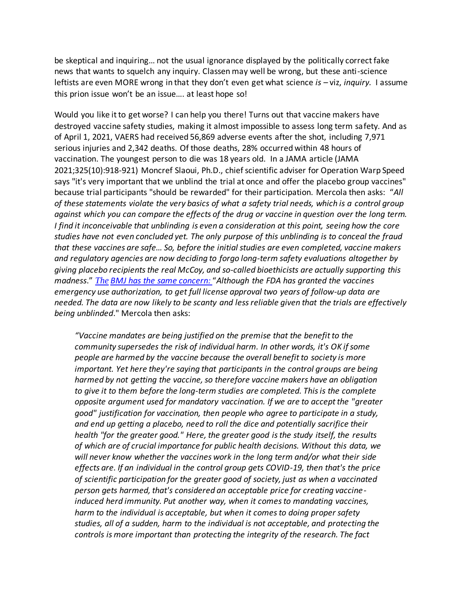be skeptical and inquiring… not the usual ignorance displayed by the politically correct fake news that wants to squelch any inquiry. Classen may well be wrong, but these anti-science leftists are even MORE wrong in that they don't even get what science *is –* viz, *inquiry.* I assume this prion issue won't be an issue…. at least hope so!

Would you like it to get worse? I can help you there! Turns out that vaccine makers have destroyed vaccine safety studies, making it almost impossible to assess long term safety. And as of April 1, 2021, VAERS had received 56,869 adverse events after the shot, including 7,971 serious injuries and 2,342 deaths. Of those deaths, 28% occurred within 48 hours of vaccination. The youngest person to die was 18 years old. In a JAMA article [\(JAMA](https://jamanetwork.com/journals/jama/fullarticle/2776787)  [2021;325\(10\):918-921\)](https://jamanetwork.com/journals/jama/fullarticle/2776787) Moncref Slaoui, Ph.D., chief scientific adviser for Operation Warp Speed says "it's very important that we unblind the trial at once and offer the placebo group vaccines" because trial participants "should be rewarded" for their participation. [Mercola then asks](https://articles.mercola.com/sites/articles/archive/2021/04/20/coronavirus-vaccine-safety-studies.aspx?ui=85e25c30771774a6eb5c52638ffecb6adfd58e053c28cca2f6014cb86ed0e8df&sd=20190328&cid_source=dnl&cid_medium=email&cid_content=art1HL&cid=20210420&mid=DM862862&rid=1137545961): "*All of these statements violate the very basics of what a safety trial needs, which is a control group against which you can compare the effects of the drug or vaccine in question over the long term. I find it inconceivable that unblinding is even a consideration at this point, seeing how the core studies have not even concluded yet. The only purpose of this unblinding is to conceal the fraud that these vaccines are safe… So, before the initial studies are even completed, vaccine makers and regulatory agencies are now deciding to forgo long-term safety evaluations altogether by giving placebo recipients the real McCoy, and so-called bioethicists are actually supporting this madness*." *The [BMJ has the same concern:](https://www.bmj.com/content/371/bmj.m4956)* "*Although the FDA has granted the vaccines emergency use authorization, to get full license approval two years of follow-up data are needed. The data are now likely to be scanty and less reliable given that the trials are effectively being unblinded*." Mercola then asks:

*"Vaccine mandates are being justified on the premise that the benefit to the community supersedes the risk of individual harm. In other words, it's OK if some people are harmed by the vaccine because the overall benefit to society is more important. Yet here they're saying that participants in the control groups are being harmed by not getting the vaccine, so therefore vaccine makers have an obligation to give it to them before the long-term studies are completed. This is the complete opposite argument used for mandatory vaccination. If we are to accept the "greater good" justification for vaccination, then people who agree to participate in a study, and end up getting a placebo, need to roll the dice and potentially sacrifice their health "for the greater good." Here, the greater good is the study itself, the results of which are of crucial importance for public health decisions. Without this data, we will never know whether the vaccines work in the long term and/or what their side effects are. If an individual in the control group gets COVID-19, then that's the price of scientific participation for the greater good of society, just as when a vaccinated person gets harmed, that's considered an acceptable price for creating vaccineinduced herd immunity. Put another way, when it comes to mandating vaccines, harm to the individual is acceptable, but when it comes to doing proper safety studies, all of a sudden, harm to the individual is not acceptable, and protecting the controls is more important than protecting the integrity of the research. The fact*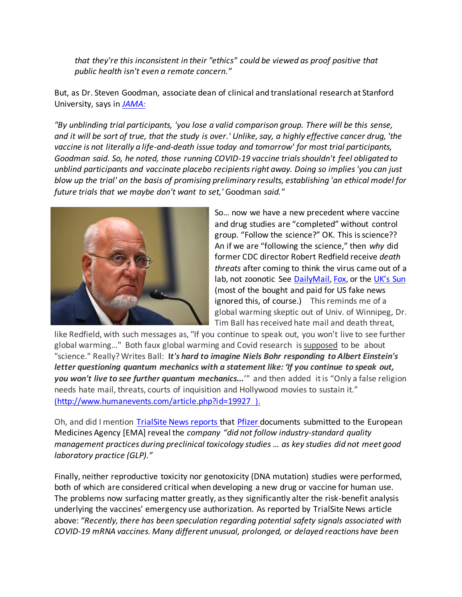*that they're this inconsistent in their "ethics" could be viewed as proof positive that public health isn't even a remote concern."*

But, as Dr. Steven Goodman, associate dean of clinical and translational research at Stanford University, says in *[JAMA](file:///C:/Users/jvann/Desktop/Coronavirus%20Riots%20&%20Election%20misc/Coronvirus%20-%20my%20writings/JAMA%202021;325(10):918-921):*

*"By unblinding trial participants, 'you lose a valid comparison group. There will be this sense, and it will be sort of true, that the study is over.' Unlike, say, a highly effective cancer drug, 'the vaccine is not literally a life-and-death issue today and tomorrow' for most trial participants, Goodman said. So, he noted, those running COVID-19 vaccine trials shouldn't feel obligated to unblind participants and vaccinate placebo recipients right away. Doing so implies 'you can just blow up the trial' on the basis of promising preliminary results, establishing 'an ethical model for future trials that we maybe don't want to set,'* Goodman *said."*



So… now we have a new precedent where vaccine and drug studies are "completed" without control group. "Follow the science?" OK. This is science?? An if we are "following the science," then *why* did former CDC director Robert Redfield receive *death threats* after coming to think the virus came out of a lab, not zoonotic See [DailyMail](https://www.dailymail.co.uk/news/article-9649771/Ex-CDC-director-received-death-threats-said-believed-COVID-19-originated-lab.html)[, Fox,](https://www.foxnews.com/health/ex-cdc-director-redfield-says-he-received-death-threats-after-mentioning-lab-leak-theory) or the [UK's Sun](https://www.the-sun.com/news/3014724/cdc-robert-redfield-death-threats-scientists-covid-wuhan-lab/) (most of the bought and paid for US fake news ignored this, of course.) This reminds me of a global warming skeptic out of Univ. of Winnipeg, Dr. Tim Ball has received hate mail and death threat,

like Redfield, with such messages as, "If you continue to speak out, you won't live to see further global warming..." Both faux global warming and Covid research is supposed to be about "science." Really? Writes Ball: **I***t's hard to imagine Niels Bohr responding to Albert Einstein's letter questioning quantum mechanics with a statement like: 'If you continue to speak out, you won't live to see further quantum mechanics...*'" and then added it is "Only a false religion needs hate mail, threats, courts of inquisition and Hollywood movies to sustain it." (<http://www.humanevents.com/article.php?id=19927> ).

Oh, and did I mention [TrialSite News reports](https://trialsitenews.com/did-pfizer-fail-to-perform-industry-standard-animal-testing-prior-to-initiation-of-mrna-clinical-trials/) that [Pfizer](https://articles.mercola.com/sites/articles/archive/2021/01/29/pfizer-admits-vaccine-does-not-prevent-covid.aspx) documents submitted to the European Medicines Agency [EMA] reveal the *company "did not follow industry-standard quality management practices during preclinical toxicology studies … as key studies did not meet good laboratory practice (GLP)."*

Finally, neither reproductive toxicity nor genotoxicity (DNA mutation) studies were performed, both of which are considered critical when developing a new drug or vaccine for human use. The problems now surfacing matter greatly, as they significantly alter the risk-benefit analysis underlying the vaccines' emergency use authorization. As reported by TrialSite News article above: *"Recently, there has been speculation regarding potential safety signals associated with COVID-19 mRNA vaccines. Many different unusual, prolonged, or delayed reactions have been*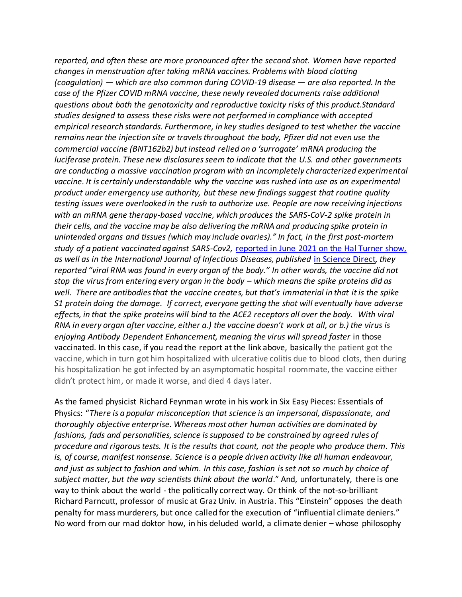*reported, and often these are more pronounced after the second shot. Women have reported changes in menstruation after taking mRNA vaccines. Problems with blood clotting (coagulation) — which are also common during COVID-19 disease — are also reported. In the case of the Pfizer COVID mRNA vaccine, these newly revealed documents raise additional questions about both the genotoxicity and reproductive toxicity risks of this product.Standard studies designed to assess these risks were not performed in compliance with accepted empirical research standards. Furthermore, in key studies designed to test whether the vaccine remains near the injection site or travels throughout the body, Pfizer did not even use the commercial vaccine (BNT162b2) but instead relied on a 'surrogate' mRNA producing the luciferase protein. These new disclosures seem to indicate that the U.S. and other governments are conducting a massive vaccination program with an incompletely characterized experimental vaccine. It is certainly understandable why the vaccine was rushed into use as an experimental product under emergency use authority, but these new findings suggest that routine quality testing issues were overlooked in the rush to authorize use. People are now receiving injections with an mRNA gene therapy-based vaccine, which produces the SARS-CoV-2 spike protein in their cells, and the vaccine may be also delivering the mRNA and producing spike protein in unintended organs and tissues (which may include ovaries)." In fact, in the first post-mortem study of a patient vaccinated against SARS-Cov2,* [reported in June 2021 on the Hal Turner show,](https://halturnerradioshow.com/index.php/en/news-page/world/global-time-bomb-first-case-of-postmortem-study-of-patient-vaccinated-against-sars-cov-2-mrna-found-in-every-organ-of-the-body)  *as well as in the International Journal of Infectious Diseases, published* [in Science Direct](https://www.sciencedirect.com/science/article/pii/S1201971221003647)*, they reported "viral RNA was found in every organ of the body." In other words, the vaccine did not stop the virus from entering every organ in the body – which means the spike proteins did as well. There are antibodies that the vaccine creates, but that's immaterial in that it is the spike S1 protein doing the damage. If correct, everyone getting the shot will eventually have adverse effects, in that the spike proteins will bind to the ACE2 receptors all over the body. With viral RNA in every organ after vaccine, either a.) the vaccine doesn't work at all, or b.) the virus is enjoying Antibody Dependent Enhancement, meaning the virus will spread faster* in those vaccinated. In this case, if you read the report at the link above, basically the patient got the vaccine, which in turn got him hospitalized with ulcerative colitis due to blood clots, then during his hospitalization he got infected by an asymptomatic hospital roommate, the vaccine either didn't protect him, or made it worse, and died 4 days later.

As the famed physicist Richard Feynman wrote in his work in Six Easy Pieces: Essentials of Physics: "*There is a popular misconception that science is an impersonal, dispassionate, and thoroughly objective enterprise. Whereas most other human activities are dominated by fashions, fads and personalities, science is supposed to be constrained by agreed rules of procedure and rigorous tests. It is the results that count, not the people who produce them. This is, of course, manifest nonsense. Science is a people driven activity like all human endeavour, and just as subject to fashion and whim. In this case, fashion is set not so much by choice of subject matter, but the way scientists think about the world*." And, unfortunately, there is one way to think about the world - the politically correct way. Or think of the not-so-brilliant Richard Parncutt, professor of music at Graz Univ. in Austria. This "Einstein" opposes the death penalty for mass murderers, but once called for the execution of "influential climate deniers." No word from our mad doktor how, in his deluded world, a climate denier – whose philosophy